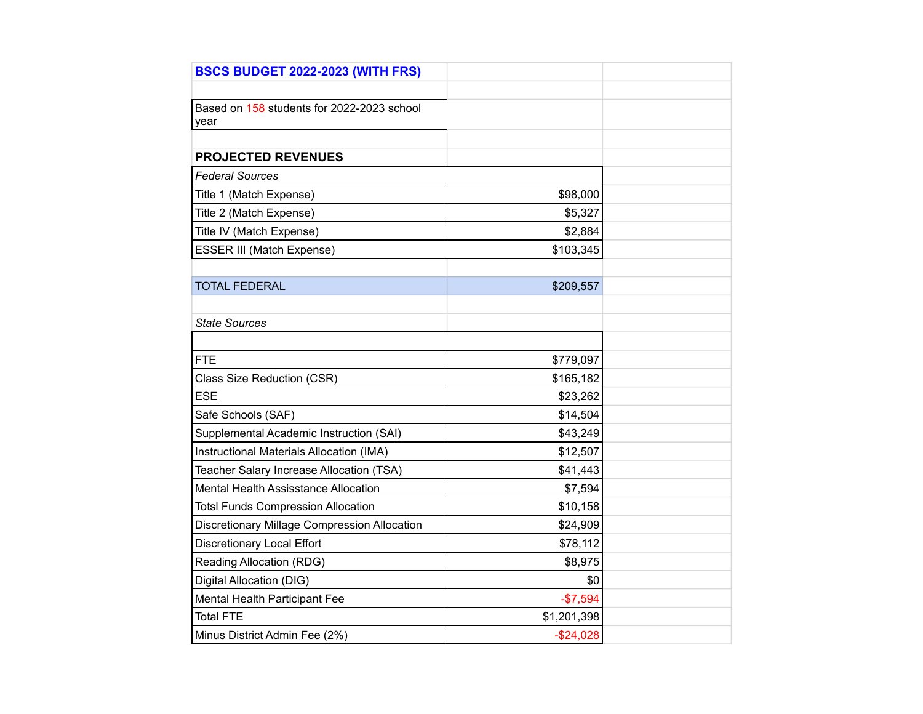| <b>BSCS BUDGET 2022-2023 (WITH FRS)</b>            |             |  |
|----------------------------------------------------|-------------|--|
|                                                    |             |  |
| Based on 158 students for 2022-2023 school<br>year |             |  |
|                                                    |             |  |
| <b>PROJECTED REVENUES</b>                          |             |  |
| <b>Federal Sources</b>                             |             |  |
| Title 1 (Match Expense)                            | \$98,000    |  |
| Title 2 (Match Expense)                            | \$5,327     |  |
| Title IV (Match Expense)                           | \$2,884     |  |
| ESSER III (Match Expense)                          | \$103,345   |  |
|                                                    |             |  |
| <b>TOTAL FEDERAL</b>                               | \$209,557   |  |
|                                                    |             |  |
| <b>State Sources</b>                               |             |  |
|                                                    |             |  |
| <b>FTE</b>                                         | \$779,097   |  |
| Class Size Reduction (CSR)                         | \$165,182   |  |
| <b>ESE</b>                                         | \$23,262    |  |
| Safe Schools (SAF)                                 | \$14,504    |  |
| Supplemental Academic Instruction (SAI)            | \$43,249    |  |
| Instructional Materials Allocation (IMA)           | \$12,507    |  |
| Teacher Salary Increase Allocation (TSA)           | \$41,443    |  |
| Mental Health Assisstance Allocation               | \$7,594     |  |
| <b>Totsl Funds Compression Allocation</b>          | \$10,158    |  |
| Discretionary Millage Compression Allocation       | \$24,909    |  |
| <b>Discretionary Local Effort</b>                  | \$78,112    |  |
| Reading Allocation (RDG)                           | \$8,975     |  |
| Digital Allocation (DIG)                           | \$0         |  |
| Mental Health Participant Fee                      | $-$7,594$   |  |
| <b>Total FTE</b>                                   | \$1,201,398 |  |
| Minus District Admin Fee (2%)                      | $-$24,028$  |  |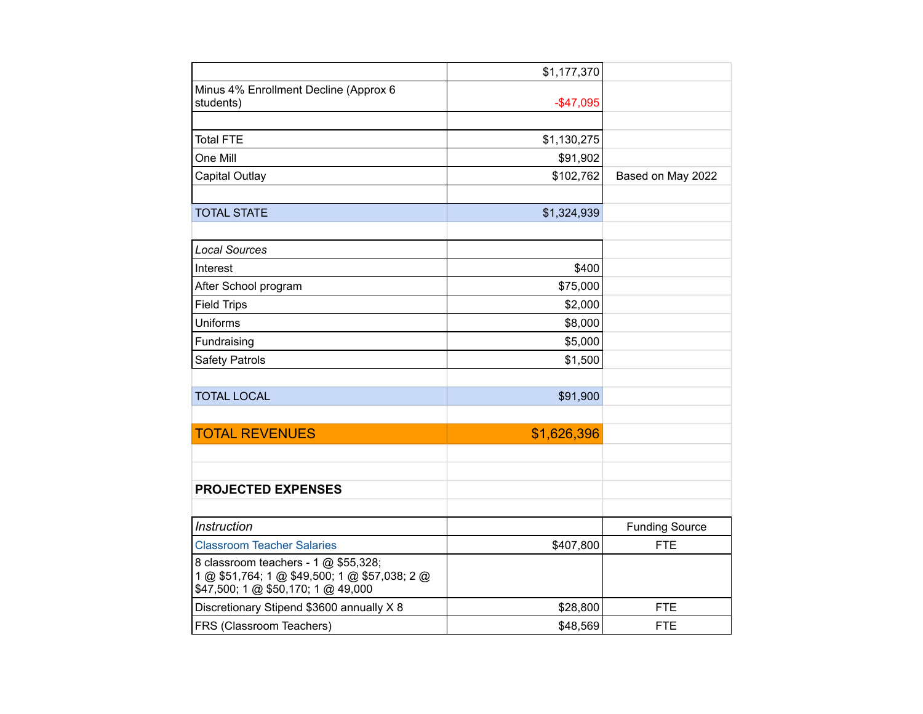|                                                                                                                             | \$1,177,370  |                       |
|-----------------------------------------------------------------------------------------------------------------------------|--------------|-----------------------|
| Minus 4% Enrollment Decline (Approx 6<br>students)                                                                          | $-$ \$47,095 |                       |
|                                                                                                                             |              |                       |
| <b>Total FTE</b>                                                                                                            | \$1,130,275  |                       |
| One Mill                                                                                                                    | \$91,902     |                       |
| <b>Capital Outlay</b>                                                                                                       | \$102,762    | Based on May 2022     |
|                                                                                                                             |              |                       |
| <b>TOTAL STATE</b>                                                                                                          | \$1,324,939  |                       |
|                                                                                                                             |              |                       |
| <b>Local Sources</b>                                                                                                        |              |                       |
| Interest                                                                                                                    | \$400        |                       |
| After School program                                                                                                        | \$75,000     |                       |
| <b>Field Trips</b>                                                                                                          | \$2,000      |                       |
| Uniforms                                                                                                                    | \$8,000      |                       |
| Fundraising                                                                                                                 | \$5,000      |                       |
| <b>Safety Patrols</b>                                                                                                       | \$1,500      |                       |
|                                                                                                                             |              |                       |
| <b>TOTAL LOCAL</b>                                                                                                          | \$91,900     |                       |
|                                                                                                                             |              |                       |
| <b>TOTAL REVENUES</b>                                                                                                       | \$1,626,396  |                       |
|                                                                                                                             |              |                       |
|                                                                                                                             |              |                       |
| <b>PROJECTED EXPENSES</b>                                                                                                   |              |                       |
|                                                                                                                             |              |                       |
| Instruction                                                                                                                 |              | <b>Funding Source</b> |
| <b>Classroom Teacher Salaries</b>                                                                                           | \$407,800    | <b>FTE</b>            |
| 8 classroom teachers - 1 @ \$55,328;<br>1 @ \$51,764; 1 @ \$49,500; 1 @ \$57,038; 2 @<br>\$47,500; 1 @ \$50,170; 1 @ 49,000 |              |                       |
| Discretionary Stipend \$3600 annually X 8                                                                                   | \$28,800     | <b>FTE</b>            |
| FRS (Classroom Teachers)                                                                                                    | \$48,569     | <b>FTE</b>            |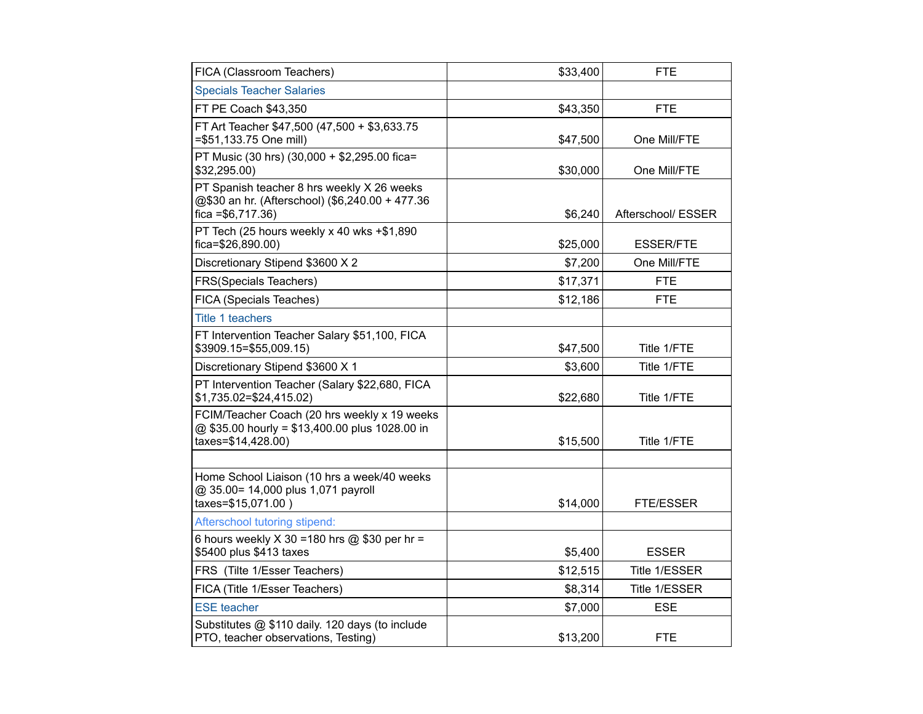| FICA (Classroom Teachers)                                                                                            | \$33,400 | FTE                |
|----------------------------------------------------------------------------------------------------------------------|----------|--------------------|
| <b>Specials Teacher Salaries</b>                                                                                     |          |                    |
| FT PE Coach \$43,350                                                                                                 | \$43,350 | <b>FTE</b>         |
| FT Art Teacher \$47,500 (47,500 + \$3,633.75<br>=\$51,133.75 One mill)                                               | \$47,500 | One Mill/FTE       |
| PT Music (30 hrs) (30,000 + \$2,295.00 fica=<br>\$32,295.00)                                                         | \$30,000 | One Mill/FTE       |
| PT Spanish teacher 8 hrs weekly X 26 weeks<br>@\$30 an hr. (Afterschool) (\$6,240.00 + 477.36<br>$fica = $6,717.36$  | \$6,240  | Afterschool/ ESSER |
| PT Tech (25 hours weekly x 40 wks +\$1,890<br>fica=\$26,890.00)                                                      | \$25,000 | <b>ESSER/FTE</b>   |
| Discretionary Stipend \$3600 X 2                                                                                     | \$7,200  | One Mill/FTE       |
| FRS(Specials Teachers)                                                                                               | \$17,371 | <b>FTE</b>         |
| FICA (Specials Teaches)                                                                                              | \$12,186 | <b>FTE</b>         |
| Title 1 teachers                                                                                                     |          |                    |
| FT Intervention Teacher Salary \$51,100, FICA<br>\$3909.15=\$55,009.15)                                              | \$47,500 | Title 1/FTE        |
| Discretionary Stipend \$3600 X 1                                                                                     | \$3,600  | Title 1/FTE        |
| PT Intervention Teacher (Salary \$22,680, FICA<br>\$1,735.02=\$24,415.02)                                            | \$22,680 | Title 1/FTE        |
| FCIM/Teacher Coach (20 hrs weekly x 19 weeks<br>@ \$35.00 hourly = \$13,400.00 plus 1028.00 in<br>taxes=\$14,428.00) | \$15,500 | Title 1/FTE        |
|                                                                                                                      |          |                    |
| Home School Liaison (10 hrs a week/40 weeks<br>@ 35.00= 14,000 plus 1,071 payroll<br>taxes=\$15,071.00)              | \$14,000 | FTE/ESSER          |
| Afterschool tutoring stipend:                                                                                        |          |                    |
| 6 hours weekly $X$ 30 = 180 hrs @ \$30 per hr =<br>\$5400 plus \$413 taxes                                           | \$5,400  | <b>ESSER</b>       |
| FRS (Tilte 1/Esser Teachers)                                                                                         | \$12,515 | Title 1/ESSER      |
| FICA (Title 1/Esser Teachers)                                                                                        | \$8,314  | Title 1/ESSER      |
| <b>ESE</b> teacher                                                                                                   | \$7,000  | <b>ESE</b>         |
| Substitutes @ \$110 daily. 120 days (to include<br>PTO, teacher observations, Testing)                               | \$13,200 | <b>FTE</b>         |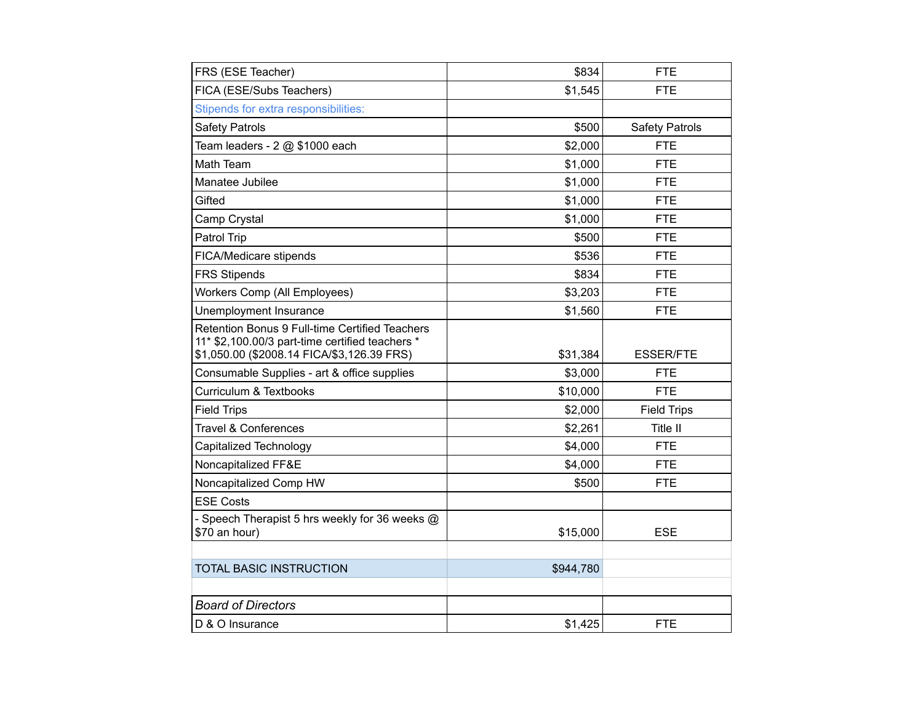| FRS (ESE Teacher)                                                                                                                               | \$834     | <b>FTE</b>            |
|-------------------------------------------------------------------------------------------------------------------------------------------------|-----------|-----------------------|
| FICA (ESE/Subs Teachers)                                                                                                                        | \$1,545   | <b>FTE</b>            |
| Stipends for extra responsibilities:                                                                                                            |           |                       |
| <b>Safety Patrols</b>                                                                                                                           | \$500     | <b>Safety Patrols</b> |
| Team leaders - 2 @ \$1000 each                                                                                                                  | \$2,000   | <b>FTE</b>            |
| Math Team                                                                                                                                       | \$1,000   | <b>FTE</b>            |
| Manatee Jubilee                                                                                                                                 | \$1,000   | <b>FTE</b>            |
| Gifted                                                                                                                                          | \$1,000   | <b>FTE</b>            |
| Camp Crystal                                                                                                                                    | \$1,000   | <b>FTE</b>            |
| Patrol Trip                                                                                                                                     | \$500     | <b>FTE</b>            |
| FICA/Medicare stipends                                                                                                                          | \$536     | <b>FTE</b>            |
| <b>FRS Stipends</b>                                                                                                                             | \$834     | <b>FTE</b>            |
| Workers Comp (All Employees)                                                                                                                    | \$3,203   | <b>FTE</b>            |
| Unemployment Insurance                                                                                                                          | \$1,560   | <b>FTE</b>            |
| Retention Bonus 9 Full-time Certified Teachers<br>11* \$2,100.00/3 part-time certified teachers *<br>\$1,050.00 (\$2008.14 FICA/\$3,126.39 FRS) | \$31,384  | <b>ESSER/FTE</b>      |
| Consumable Supplies - art & office supplies                                                                                                     | \$3,000   | <b>FTE</b>            |
| Curriculum & Textbooks                                                                                                                          | \$10,000  | <b>FTE</b>            |
| <b>Field Trips</b>                                                                                                                              | \$2,000   | <b>Field Trips</b>    |
| <b>Travel &amp; Conferences</b>                                                                                                                 | \$2,261   | Title II              |
| Capitalized Technology                                                                                                                          | \$4,000   | <b>FTE</b>            |
| Noncapitalized FF&E                                                                                                                             | \$4,000   | <b>FTE</b>            |
| Noncapitalized Comp HW                                                                                                                          | \$500     | <b>FTE</b>            |
| <b>ESE Costs</b>                                                                                                                                |           |                       |
| Speech Therapist 5 hrs weekly for 36 weeks @<br>\$70 an hour)                                                                                   | \$15,000  | <b>ESE</b>            |
|                                                                                                                                                 |           |                       |
| <b>TOTAL BASIC INSTRUCTION</b>                                                                                                                  | \$944,780 |                       |
|                                                                                                                                                 |           |                       |
| <b>Board of Directors</b>                                                                                                                       |           |                       |
| D & O Insurance                                                                                                                                 | \$1,425   | <b>FTE</b>            |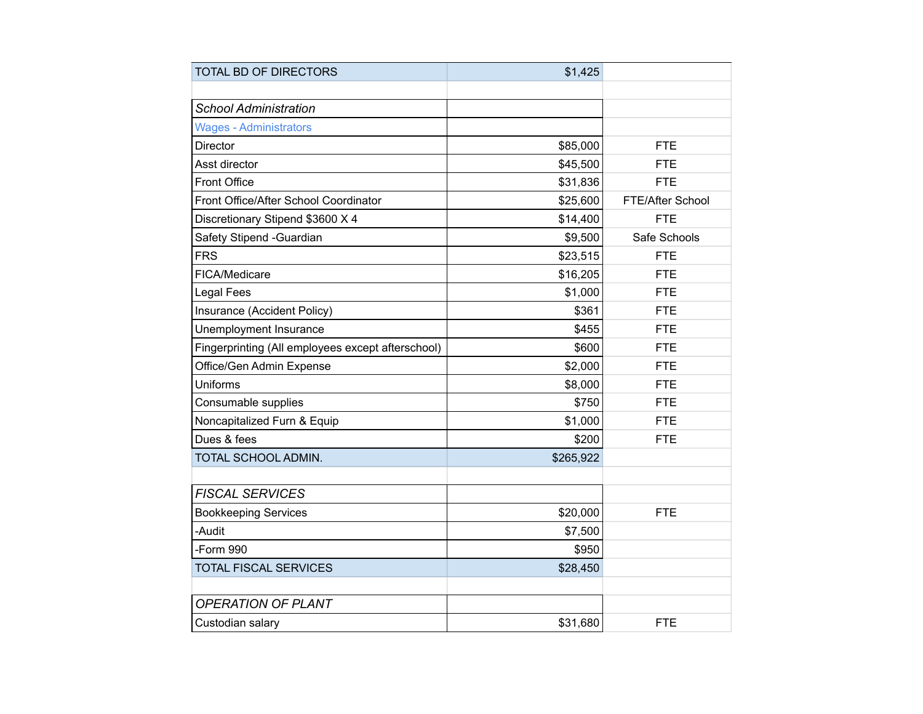| TOTAL BD OF DIRECTORS                             | \$1,425   |                  |
|---------------------------------------------------|-----------|------------------|
|                                                   |           |                  |
| <b>School Administration</b>                      |           |                  |
| <b>Wages - Administrators</b>                     |           |                  |
| <b>Director</b>                                   | \$85,000  | <b>FTE</b>       |
| Asst director                                     | \$45,500  | <b>FTE</b>       |
| Front Office                                      | \$31,836  | <b>FTE</b>       |
| Front Office/After School Coordinator             | \$25,600  | FTE/After School |
| Discretionary Stipend \$3600 X 4                  | \$14,400  | <b>FTE</b>       |
| Safety Stipend - Guardian                         | \$9,500   | Safe Schools     |
| <b>FRS</b>                                        | \$23,515  | <b>FTE</b>       |
| FICA/Medicare                                     | \$16,205  | <b>FTE</b>       |
| Legal Fees                                        | \$1,000   | <b>FTE</b>       |
| Insurance (Accident Policy)                       | \$361     | <b>FTE</b>       |
| Unemployment Insurance                            | \$455     | <b>FTE</b>       |
| Fingerprinting (All employees except afterschool) | \$600     | <b>FTE</b>       |
| Office/Gen Admin Expense                          | \$2,000   | <b>FTE</b>       |
| Uniforms                                          | \$8,000   | <b>FTE</b>       |
| Consumable supplies                               | \$750     | <b>FTE</b>       |
| Noncapitalized Furn & Equip                       | \$1,000   | <b>FTE</b>       |
| Dues & fees                                       | \$200     | <b>FTE</b>       |
| TOTAL SCHOOL ADMIN.                               | \$265,922 |                  |
|                                                   |           |                  |
| <b>FISCAL SERVICES</b>                            |           |                  |
| <b>Bookkeeping Services</b>                       | \$20,000  | <b>FTE</b>       |
| -Audit                                            | \$7,500   |                  |
| -Form 990                                         | \$950     |                  |
| <b>TOTAL FISCAL SERVICES</b>                      | \$28,450  |                  |
|                                                   |           |                  |
| <b>OPERATION OF PLANT</b>                         |           |                  |
| Custodian salary                                  | \$31,680  | <b>FTE</b>       |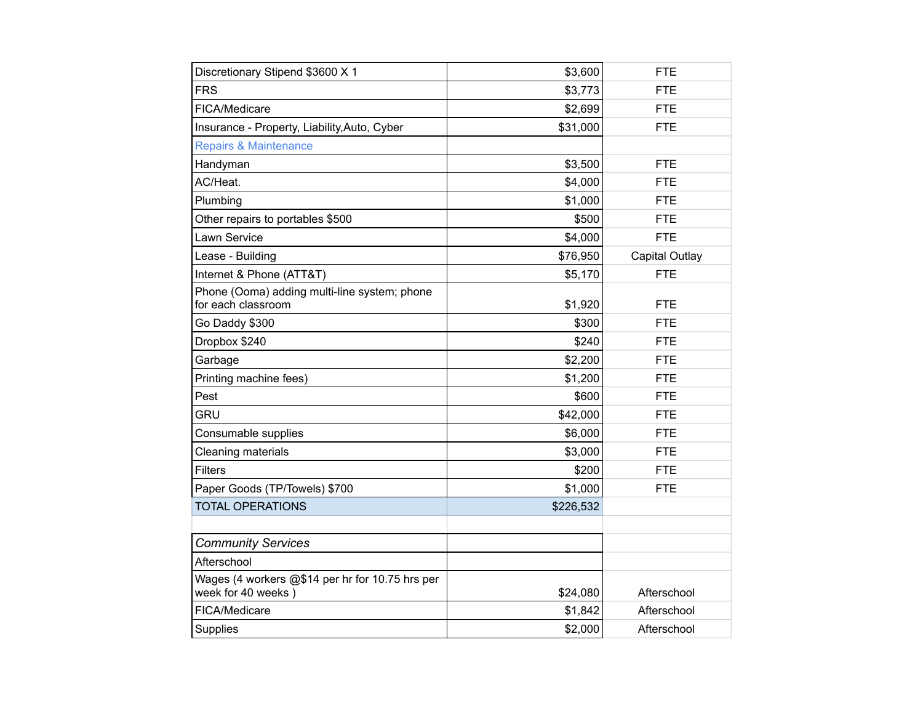| Discretionary Stipend \$3600 X 1                                      | \$3,600   | <b>FTE</b>     |
|-----------------------------------------------------------------------|-----------|----------------|
| <b>FRS</b>                                                            | \$3,773   | <b>FTE</b>     |
| FICA/Medicare                                                         | \$2,699   | <b>FTE</b>     |
| Insurance - Property, Liability, Auto, Cyber                          | \$31,000  | <b>FTE</b>     |
| <b>Repairs &amp; Maintenance</b>                                      |           |                |
| Handyman                                                              | \$3,500   | <b>FTE</b>     |
| AC/Heat.                                                              | \$4,000   | <b>FTE</b>     |
| Plumbing                                                              | \$1,000   | <b>FTE</b>     |
| Other repairs to portables \$500                                      | \$500     | <b>FTE</b>     |
| Lawn Service                                                          | \$4,000   | <b>FTE</b>     |
| Lease - Building                                                      | \$76,950  | Capital Outlay |
| Internet & Phone (ATT&T)                                              | \$5,170   | <b>FTE</b>     |
| Phone (Ooma) adding multi-line system; phone<br>for each classroom    | \$1,920   | <b>FTE</b>     |
| Go Daddy \$300                                                        | \$300     | <b>FTE</b>     |
| Dropbox \$240                                                         | \$240     | <b>FTE</b>     |
| Garbage                                                               | \$2,200   | <b>FTE</b>     |
| Printing machine fees)                                                | \$1,200   | <b>FTE</b>     |
| Pest                                                                  | \$600     | <b>FTE</b>     |
| <b>GRU</b>                                                            | \$42,000  | <b>FTE</b>     |
| Consumable supplies                                                   | \$6,000   | <b>FTE</b>     |
| Cleaning materials                                                    | \$3,000   | <b>FTE</b>     |
| <b>Filters</b>                                                        | \$200     | <b>FTE</b>     |
| Paper Goods (TP/Towels) \$700                                         | \$1,000   | <b>FTE</b>     |
| <b>TOTAL OPERATIONS</b>                                               | \$226,532 |                |
|                                                                       |           |                |
| <b>Community Services</b>                                             |           |                |
| Afterschool                                                           |           |                |
| Wages (4 workers @\$14 per hr for 10.75 hrs per<br>week for 40 weeks) | \$24,080  | Afterschool    |
| FICA/Medicare                                                         | \$1,842   | Afterschool    |
| Supplies                                                              | \$2,000   | Afterschool    |